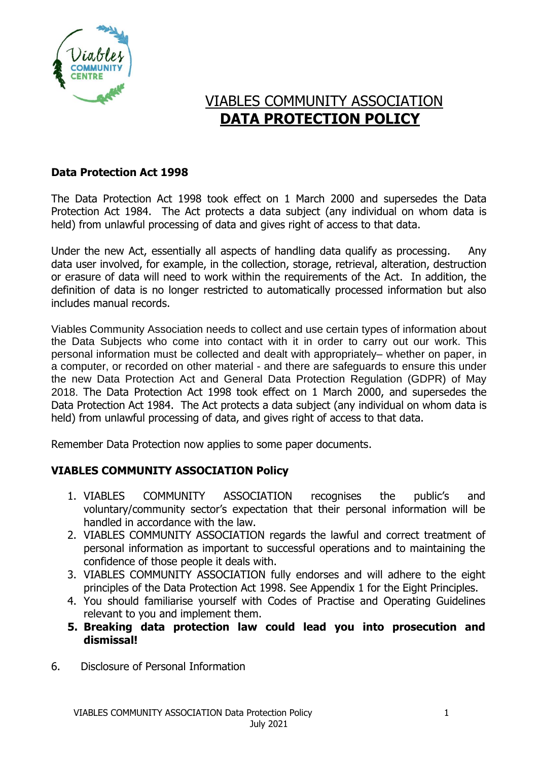

# VIABLES COMMUNITY ASSOCIATION  **DATA PROTECTION POLICY**

#### **Data Protection Act 1998**

The Data Protection Act 1998 took effect on 1 March 2000 and supersedes the Data Protection Act 1984. The Act protects a data subject (any individual on whom data is held) from unlawful processing of data and gives right of access to that data.

Under the new Act, essentially all aspects of handling data qualify as processing. Any data user involved, for example, in the collection, storage, retrieval, alteration, destruction or erasure of data will need to work within the requirements of the Act. In addition, the definition of data is no longer restricted to automatically processed information but also includes manual records.

Viables Community Association needs to collect and use certain types of information about the Data Subjects who come into contact with it in order to carry out our work. This personal information must be collected and dealt with appropriately– whether on paper, in a computer, or recorded on other material - and there are safeguards to ensure this under the new Data Protection Act and General Data Protection Regulation (GDPR) of May 2018. The Data Protection Act 1998 took effect on 1 March 2000, and supersedes the Data Protection Act 1984. The Act protects a data subject (any individual on whom data is held) from unlawful processing of data, and gives right of access to that data.

Remember Data Protection now applies to some paper documents.

## **VIABLES COMMUNITY ASSOCIATION Policy**

- 1. VIABLES COMMUNITY ASSOCIATION recognises the public's and voluntary/community sector's expectation that their personal information will be handled in accordance with the law.
- 2. VIABLES COMMUNITY ASSOCIATION regards the lawful and correct treatment of personal information as important to successful operations and to maintaining the confidence of those people it deals with.
- 3. VIABLES COMMUNITY ASSOCIATION fully endorses and will adhere to the eight principles of the Data Protection Act 1998. See Appendix 1 for the Eight Principles.
- 4. You should familiarise yourself with Codes of Practise and Operating Guidelines relevant to you and implement them.
- **5. Breaking data protection law could lead you into prosecution and dismissal!**
- 6. Disclosure of Personal Information